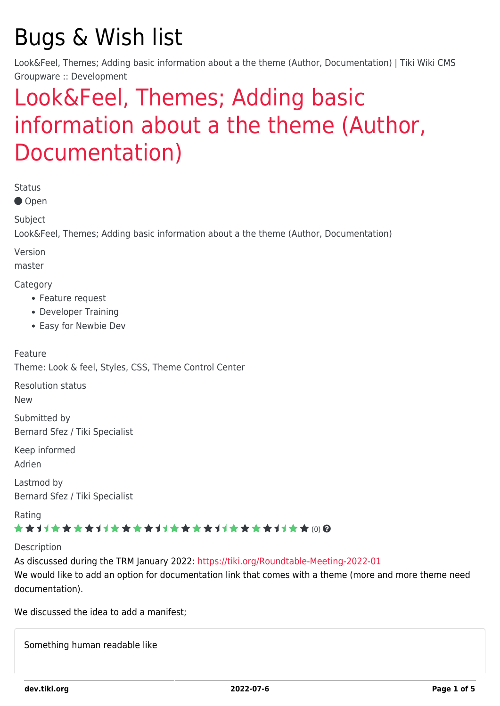# Bugs & Wish list

Look&Feel, Themes; Adding basic information about a the theme (Author, Documentation) | Tiki Wiki CMS Groupware :: Development

# [Look&Feel, Themes; Adding basic](https://dev.tiki.org/item8037-Look-Feel-Themes-Adding-basic-information-about-a-the-theme-Author-Documentation) [information about a the theme \(Author,](https://dev.tiki.org/item8037-Look-Feel-Themes-Adding-basic-information-about-a-the-theme-Author-Documentation) [Documentation\)](https://dev.tiki.org/item8037-Look-Feel-Themes-Adding-basic-information-about-a-the-theme-Author-Documentation)

Status

● Open

Subject

Look&Feel, Themes; Adding basic information about a the theme (Author, Documentation)

Version

master

Category

- Feature request
- Developer Training
- Easy for Newbie Dev

Feature Theme: Look & feel, Styles, CSS, Theme Control Center

Resolution status

New

Submitted by Bernard Sfez / Tiki Specialist

Keep informed

Adrien

Lastmod by Bernard Sfez / Tiki Specialist

Rating

### \*\*\*\*\*\*\*\*\*\*\*\*\*\*\*\*\*\*\*\*\*\*\*\*\*\*\*\*\*\*

Description

As discussed during the TRM January 2022:<https://tiki.org/Roundtable-Meeting-2022-01> We would like to add an option for documentation link that comes with a theme (more and more theme need documentation).

We discussed the idea to add a manifest:

Something human readable like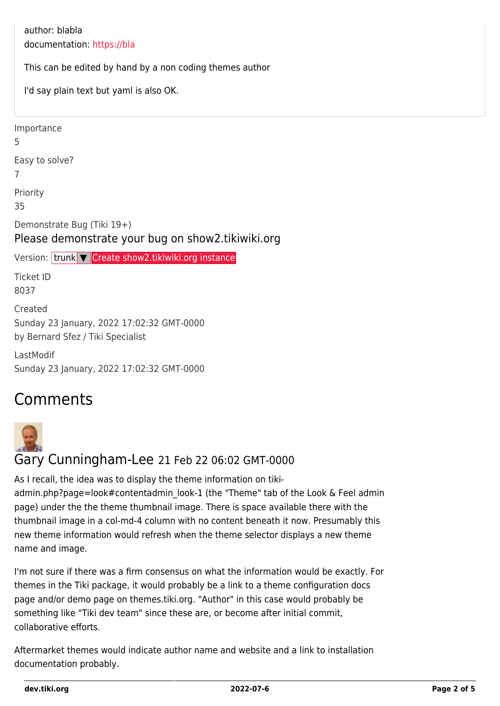author: blabla documentation: [https://bla](#page--1-0) This can be edited by hand by a non coding themes author I'd say plain text but yaml is also OK. Importance 5 Easy to solve? 7 Priority 35 Demonstrate Bug (Tiki 19+) Please demonstrate your bug on show2.tikiwiki.org Version: trunk ▼ [Create show2.tikiwiki.org instance](#page--1-0) Ticket ID 8037 Created Sunday 23 January, 2022 17:02:32 GMT-0000 by Bernard Sfez / Tiki Specialist LastModif

## **Comments**

Sunday 23 January, 2022 17:02:32 GMT-0000



### Gary Cunningham-Lee 21 Feb 22 06:02 GMT-0000

As I recall, the idea was to display the theme information on tikiadmin.php?page=look#contentadmin\_look-1 (the "Theme" tab of the Look & Feel admin page) under the the theme thumbnail image. There is space available there with the thumbnail image in a col-md-4 column with no content beneath it now. Presumably this new theme information would refresh when the theme selector displays a new theme name and image.

I'm not sure if there was a firm consensus on what the information would be exactly. For themes in the Tiki package, it would probably be a link to a theme configuration docs page and/or demo page on themes.tiki.org. "Author" in this case would probably be something like "Tiki dev team" since these are, or become after initial commit, collaborative efforts.

Aftermarket themes would indicate author name and website and a link to installation documentation probably.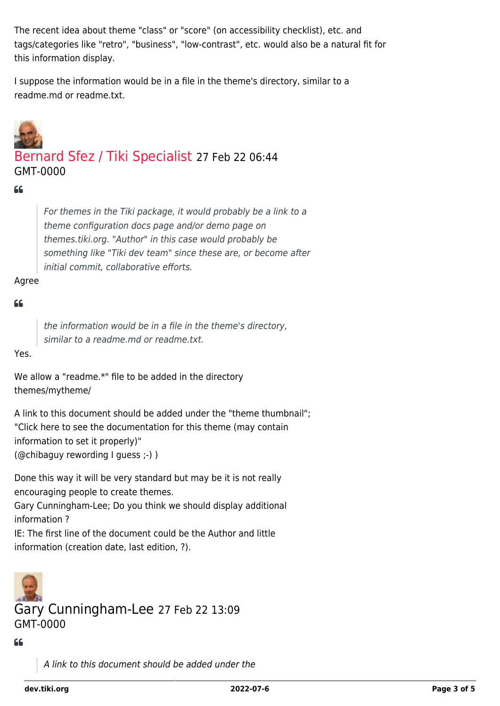The recent idea about theme "class" or "score" (on accessibility checklist), etc. and tags/categories like "retro", "business", "low-contrast", etc. would also be a natural fit for this information display.

I suppose the information would be in a file in the theme's directory, similar to a readme.md or readme.txt.



## [Bernard Sfez / Tiki Specialist](https://dev.tiki.org/user11581) 27 Feb 22 06:44 GMT-0000

#### $C$

For themes in the Tiki package, it would probably be a link to a theme configuration docs page and/or demo page on themes.tiki.org. "Author" in this case would probably be something like "Tiki dev team" since these are, or become after initial commit, collaborative efforts.

#### Agree

#### $66$

the information would be in a file in the theme's directory, similar to a readme.md or readme.txt.

Yes.

We allow a "readme.\*" file to be added in the directory themes/mytheme/

A link to this document should be added under the "theme thumbnail"; "Click here to see the documentation for this theme (may contain information to set it properly)" (@chibaguy rewording I guess ;-) )

Done this way it will be very standard but may be it is not really encouraging people to create themes.

Gary Cunningham-Lee; Do you think we should display additional information ?

IE: The first line of the document could be the Author and little information (creation date, last edition, ?).



Gary Cunningham-Lee 27 Feb 22 13:09 GMT-0000

 $66$ 

A link to this document should be added under the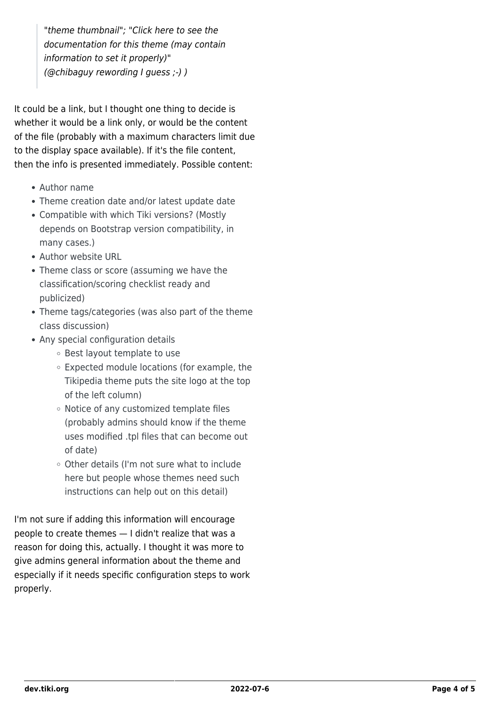"theme thumbnail"; "Click here to see the documentation for this theme (may contain information to set it properly)" (@chibaguy rewording I guess ;-) )

It could be a link, but I thought one thing to decide is whether it would be a link only, or would be the content of the file (probably with a maximum characters limit due to the display space available). If it's the file content, then the info is presented immediately. Possible content:

- Author name
- Theme creation date and/or latest update date
- Compatible with which Tiki versions? (Mostly depends on Bootstrap version compatibility, in many cases.)
- Author website URL
- Theme class or score (assuming we have the classification/scoring checklist ready and publicized)
- Theme tags/categories (was also part of the theme class discussion)
- Any special configuration details
	- Best layout template to use
	- Expected module locations (for example, the Tikipedia theme puts the site logo at the top of the left column)
	- Notice of any customized template files (probably admins should know if the theme uses modified .tpl files that can become out of date)
	- Other details (I'm not sure what to include here but people whose themes need such instructions can help out on this detail)

I'm not sure if adding this information will encourage people to create themes — I didn't realize that was a reason for doing this, actually. I thought it was more to give admins general information about the theme and especially if it needs specific configuration steps to work properly.